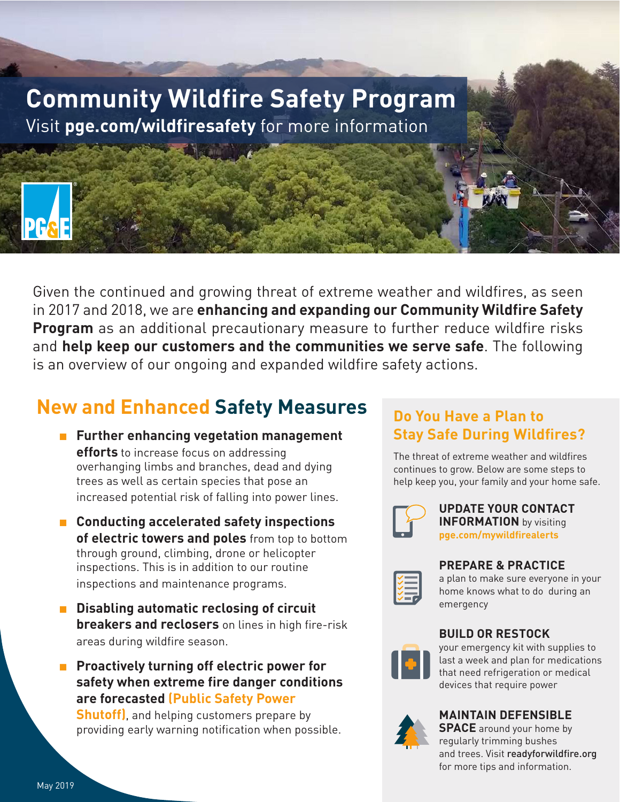

Given the continued and growing threat of extreme weather and wildfires, as seen in 2017 and 2018, we are **enhancing and expanding our Community Wildfire Safety Program** as an additional precautionary measure to further reduce wildfire risks and **help keep our customers and the communities we serve safe**. The following is an overview of our ongoing and expanded wildfire safety actions.

# **New and Enhanced Safety Measures**

- Further enhancing vegetation management **efforts** to increase focus on addressing overhanging limbs and branches, dead and dying trees as well as certain species that pose an increased potential risk of falling into power lines.
- Conducting accelerated safety inspections **of electric towers and poles** from top to bottom through ground, climbing, drone or helicopter inspections. This is in addition to our routine inspections and maintenance programs.
- **Disabling automatic reclosing of circuit breakers and reclosers** on lines in high fire-risk areas during wildfire season.
- **Proactively turning off electric power for safety when extreme fire danger conditions are forecasted (Public Safety Power**

**Shutoff)**, and helping customers prepare by providing early warning notification when possible.

## **Do You Have a Plan to Stay Safe During Wildfires?**

The threat of extreme weather and wildfires continues to grow. Below are some steps to help keep you, your family and your home safe.



#### **UPDATE YOUR CONTACT INFORMATION** by visiting **pge.com/mywildfirealerts**



### **PREPARE & PRACTICE**

a plan to make sure everyone in your home knows what to do during an emergency





your emergency kit with supplies to last a week and plan for medications that need refrigeration or medical devices that require power



### **MAINTAIN DEFENSIBLE**

**SPACE** around your home by regularly trimming bushes and trees. Visit readyforwildfire.org for more tips and information.